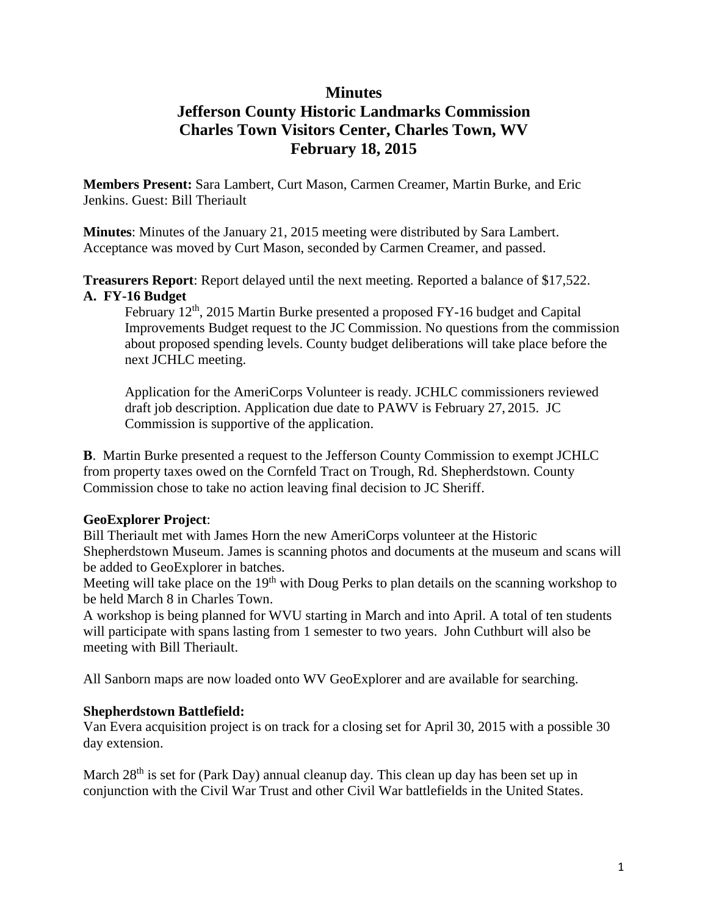## **Minutes**

# **Jefferson County Historic Landmarks Commission Charles Town Visitors Center, Charles Town, WV February 18, 2015**

**Members Present:** Sara Lambert, Curt Mason, Carmen Creamer, Martin Burke, and Eric Jenkins. Guest: Bill Theriault

**Minutes**: Minutes of the January 21, 2015 meeting were distributed by Sara Lambert. Acceptance was moved by Curt Mason, seconded by Carmen Creamer, and passed.

**Treasurers Report**: Report delayed until the next meeting. Reported a balance of \$17,522. **A. FY-16 Budget**

February 12<sup>th</sup>, 2015 Martin Burke presented a proposed FY-16 budget and Capital Improvements Budget request to the JC Commission. No questions from the commission about proposed spending levels. County budget deliberations will take place before the next JCHLC meeting.

Application for the AmeriCorps Volunteer is ready. JCHLC commissioners reviewed draft job description. Application due date to PAWV is February 27, 2015. JC Commission is supportive of the application.

**B**. Martin Burke presented a request to the Jefferson County Commission to exempt JCHLC from property taxes owed on the Cornfeld Tract on Trough, Rd. Shepherdstown. County Commission chose to take no action leaving final decision to JC Sheriff.

## **GeoExplorer Project**:

Bill Theriault met with James Horn the new AmeriCorps volunteer at the Historic Shepherdstown Museum. James is scanning photos and documents at the museum and scans will be added to GeoExplorer in batches.

Meeting will take place on the 19<sup>th</sup> with Doug Perks to plan details on the scanning workshop to be held March 8 in Charles Town.

A workshop is being planned for WVU starting in March and into April. A total of ten students will participate with spans lasting from 1 semester to two years. John Cuthburt will also be meeting with Bill Theriault.

All Sanborn maps are now loaded onto WV GeoExplorer and are available for searching.

#### **Shepherdstown Battlefield:**

Van Evera acquisition project is on track for a closing set for April 30, 2015 with a possible 30 day extension.

March 28<sup>th</sup> is set for (Park Day) annual cleanup day. This clean up day has been set up in conjunction with the Civil War Trust and other Civil War battlefields in the United States.